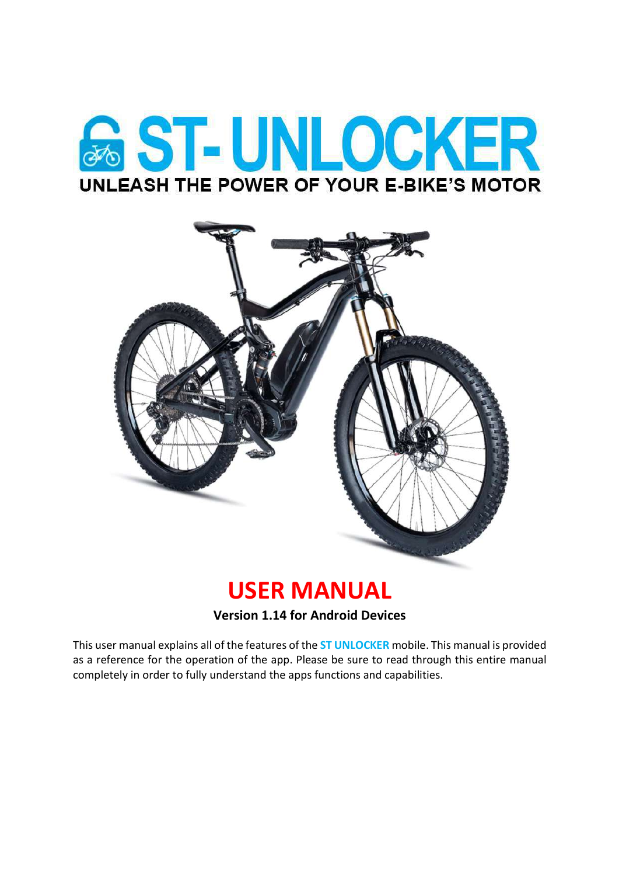



# USER MANUAL

Version 1.14 for Android Devices

This user manual explains all of the features of the **ST UNLOCKER** mobile. This manual is provided as a reference for the operation of the app. Please be sure to read through this entire manual completely in order to fully understand the apps functions and capabilities.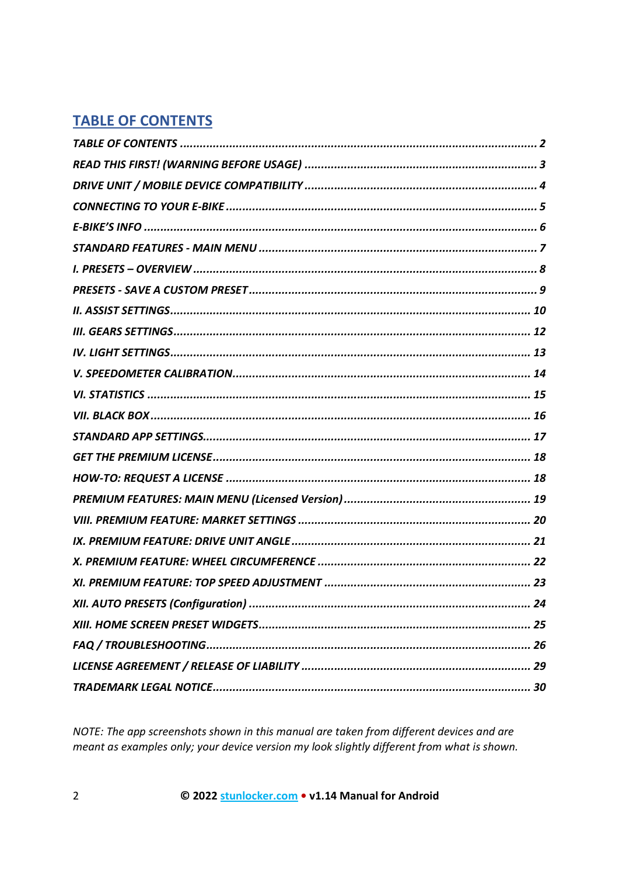## **TABLE OF CONTENTS**

NOTE: The app screenshots shown in this manual are taken from different devices and are meant as examples only; your device version my look slightly different from what is shown.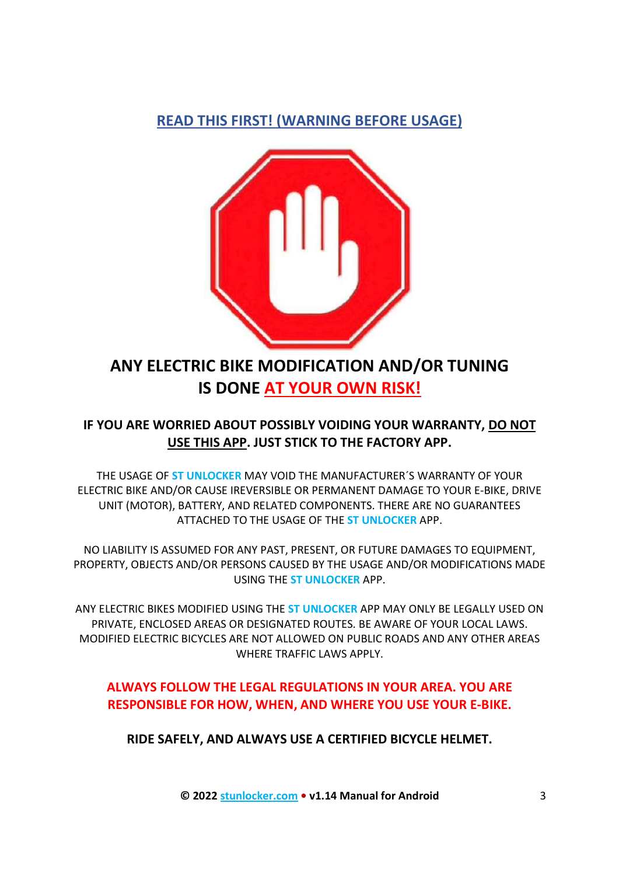## READ THIS FIRST! (WARNING BEFORE USAGE)



## ANY ELECTRIC BIKE MODIFICATION AND/OR TUNING IS DONE AT YOUR OWN RISK!

### IF YOU ARE WORRIED ABOUT POSSIBLY VOIDING YOUR WARRANTY, DO NOT USE THIS APP. JUST STICK TO THE FACTORY APP.

THE USAGE OF ST UNLOCKER MAY VOID THE MANUFACTURER'S WARRANTY OF YOUR ELECTRIC BIKE AND/OR CAUSE IREVERSIBLE OR PERMANENT DAMAGE TO YOUR E-BIKE, DRIVE UNIT (MOTOR), BATTERY, AND RELATED COMPONENTS. THERE ARE NO GUARANTEES ATTACHED TO THE USAGE OF THE ST UNLOCKER APP.

NO LIABILITY IS ASSUMED FOR ANY PAST, PRESENT, OR FUTURE DAMAGES TO EQUIPMENT, PROPERTY, OBJECTS AND/OR PERSONS CAUSED BY THE USAGE AND/OR MODIFICATIONS MADE USING THE ST UNLOCKER APP.

ANY ELECTRIC BIKES MODIFIED USING THE ST UNLOCKER APP MAY ONLY BE LEGALLY USED ON PRIVATE, ENCLOSED AREAS OR DESIGNATED ROUTES. BE AWARE OF YOUR LOCAL LAWS. MODIFIED ELECTRIC BICYCLES ARE NOT ALLOWED ON PUBLIC ROADS AND ANY OTHER AREAS WHERE TRAFFIC LAWS APPLY.

### ALWAYS FOLLOW THE LEGAL REGULATIONS IN YOUR AREA. YOU ARE RESPONSIBLE FOR HOW, WHEN, AND WHERE YOU USE YOUR E-BIKE.

RIDE SAFELY, AND ALWAYS USE A CERTIFIED BICYCLE HELMET.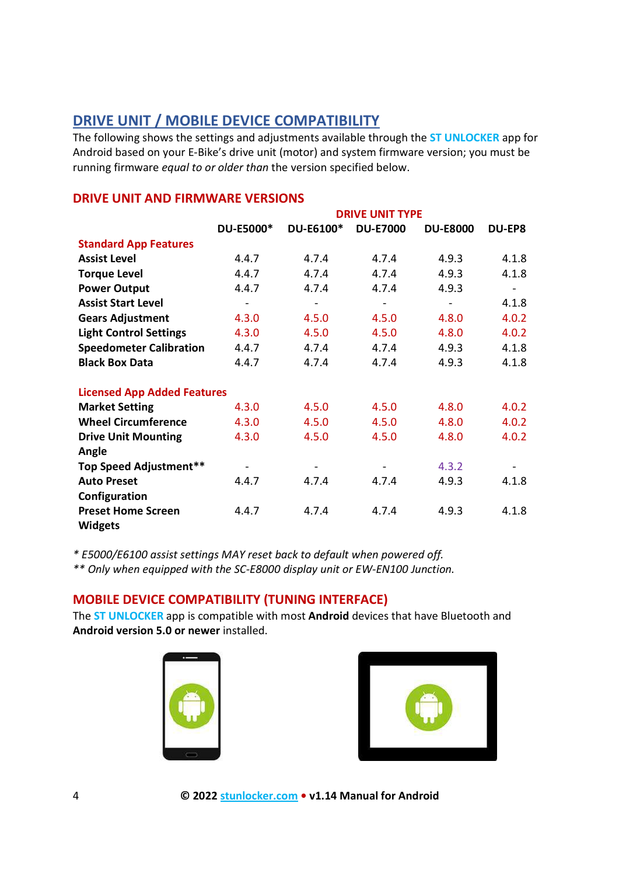## DRIVE UNIT / MOBILE DEVICE COMPATIBILITY

The following shows the settings and adjustments available through the **ST UNLOCKER** app for Android based on your E-Bike's drive unit (motor) and system firmware version; you must be running firmware equal to or older than the version specified below.

|                                    | <b>DRIVE UNIT TYPE</b>   |                          |                          |                          |                          |
|------------------------------------|--------------------------|--------------------------|--------------------------|--------------------------|--------------------------|
|                                    | DU-E5000*                | <b>DU-E6100*</b>         | <b>DU-E7000</b>          | <b>DU-E8000</b>          | <b>DU-EP8</b>            |
| <b>Standard App Features</b>       |                          |                          |                          |                          |                          |
| <b>Assist Level</b>                | 4.4.7                    | 4.7.4                    | 4.7.4                    | 4.9.3                    | 4.1.8                    |
| <b>Torque Level</b>                | 4.4.7                    | 4.7.4                    | 4.7.4                    | 4.9.3                    | 4.1.8                    |
| <b>Power Output</b>                | 4.4.7                    | 4.7.4                    | 4.7.4                    | 4.9.3                    | $\overline{\phantom{a}}$ |
| <b>Assist Start Level</b>          | $\overline{\phantom{a}}$ | $\overline{\phantom{a}}$ | $\overline{\phantom{a}}$ | $\overline{\phantom{a}}$ | 4.1.8                    |
| <b>Gears Adjustment</b>            | 4.3.0                    | 4.5.0                    | 4.5.0                    | 4.8.0                    | 4.0.2                    |
| <b>Light Control Settings</b>      | 4.3.0                    | 4.5.0                    | 4.5.0                    | 4.8.0                    | 4.0.2                    |
| <b>Speedometer Calibration</b>     | 4.4.7                    | 4.7.4                    | 4.7.4                    | 4.9.3                    | 4.1.8                    |
| <b>Black Box Data</b>              | 4.4.7                    | 4.7.4                    | 4.7.4                    | 4.9.3                    | 4.1.8                    |
| <b>Licensed App Added Features</b> |                          |                          |                          |                          |                          |
| <b>Market Setting</b>              | 4.3.0                    | 4.5.0                    | 4.5.0                    | 4.8.0                    | 4.0.2                    |
| <b>Wheel Circumference</b>         | 4.3.0                    | 4.5.0                    | 4.5.0                    | 4.8.0                    | 4.0.2                    |
| <b>Drive Unit Mounting</b>         | 4.3.0                    | 4.5.0                    | 4.5.0                    | 4.8.0                    | 4.0.2                    |
| Angle                              |                          |                          |                          |                          |                          |
| Top Speed Adjustment**             |                          |                          |                          | 4.3.2                    |                          |
| <b>Auto Preset</b>                 | 4.4.7                    | 4.7.4                    | 4.7.4                    | 4.9.3                    | 4.1.8                    |
| Configuration                      |                          |                          |                          |                          |                          |
| <b>Preset Home Screen</b>          | 4.4.7                    | 4.7.4                    | 4.7.4                    | 4.9.3                    | 4.1.8                    |
| <b>Widgets</b>                     |                          |                          |                          |                          |                          |

### DRIVE UNIT AND FIRMWARE VERSIONS

\* E5000/E6100 assist settings MAY reset back to default when powered off.

\*\* Only when equipped with the SC-E8000 display unit or EW-EN100 Junction.

### MOBILE DEVICE COMPATIBILITY (TUNING INTERFACE)

The **ST UNLOCKER** app is compatible with most **Android** devices that have Bluetooth and Android version 5.0 or newer installed.



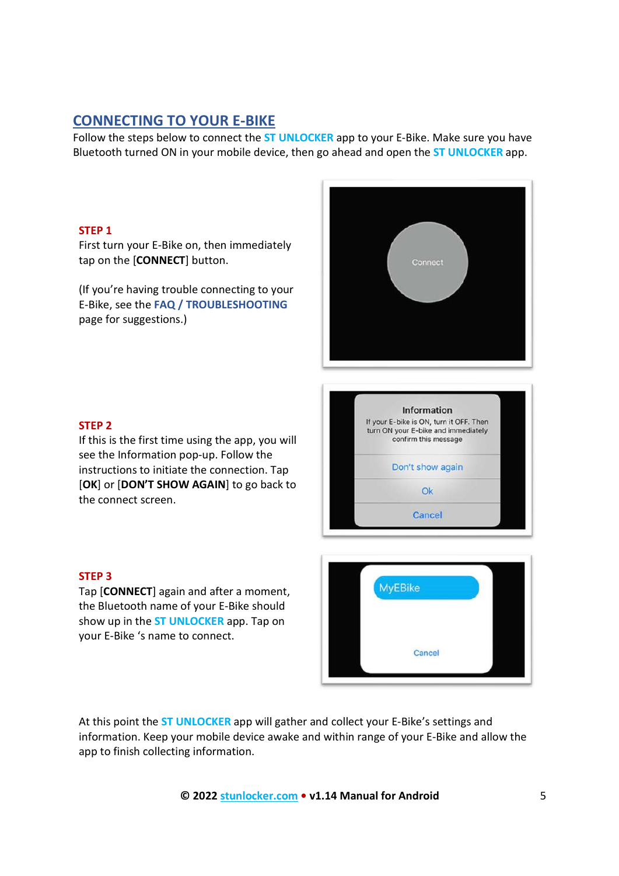### CONNECTING TO YOUR E-BIKE

Follow the steps below to connect the **ST UNLOCKER** app to your E-Bike. Make sure you have Bluetooth turned ON in your mobile device, then go ahead and open the **ST UNLOCKER** app.

#### STEP 1

First turn your E-Bike on, then immediately tap on the [CONNECT] button.

(If you're having trouble connecting to your E-Bike, see the FAQ / TROUBLESHOOTING page for suggestions.)



# Information If your E-bike is ON, turn it OFF. Then If this is the first time using the app, you will this is the first time using the app, you will confirm this message Don't show again Ok Cancel

### STEP 2

see the Information pop-up. Follow the instructions to initiate the connection. Tap [OK] or [DON'T SHOW AGAIN] to go back to the connect screen.

### STEP 3

Tap [CONNECT] again and after a moment, the Bluetooth name of your E-Bike should show up in the **ST UNLOCKER** app. Tap on your E-Bike 's name to connect.



At this point the **ST UNLOCKER** app will gather and collect your E-Bike's settings and information. Keep your mobile device awake and within range of your E-Bike and allow the app to finish collecting information.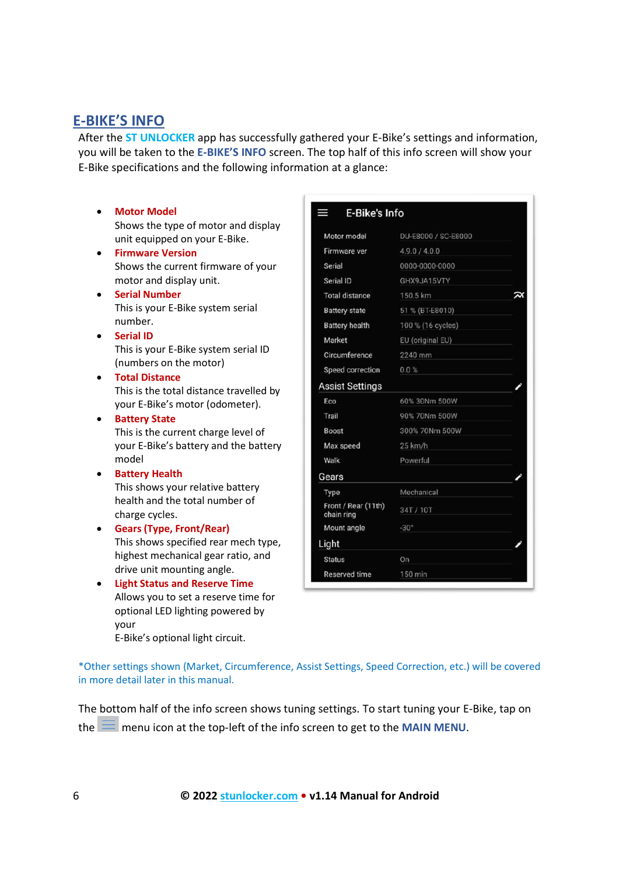### E-BIKE'S INFO

After the **ST UNLOCKER** app has successfully gathered your E-Bike's settings and information, you will be taken to the E-BIKE'S INFO screen. The top half of this info screen will show your E-Bike specifications and the following information at a glance:

- Motor Model Shows the type of motor and display unit equipped on your E-Bike. **•** Firmware Version Shows the current firmware of your motor and display unit. **•** Serial Number This is your E-Bike system serial
- number.
- **•** Serial ID This is your E-Bike system serial ID (numbers on the motor)
- Total Distance This is the total distance travelled by your E-Bike's motor (odometer).
- **•** Battery State This is the current charge level of your E-Bike's battery and the battery model
- **•** Battery Health This shows your relative battery health and the total number of charge cycles.
- Gears (Type, Front/Rear) This shows specified rear mech type, highest mechanical gear ratio, and drive unit mounting angle.
- Light Status and Reserve Time Allows you to set a reserve time for optional LED lighting powered by your E-Bike's optional light circuit.

| <b>E-Bike's Info</b><br>=         |                     |  |
|-----------------------------------|---------------------|--|
| Motor model                       | DU-E8000 / SC-E8000 |  |
| Firmware ver                      | 4.9.0 / 4.0.0       |  |
| Serial                            | 0000-0000-0000      |  |
| Serial ID                         | GHX9JA15VTY         |  |
| <b>Total distance</b>             | 150.5 km            |  |
| <b>Battery state</b>              | 51 % (BT-E8010)     |  |
| <b>Battery health</b>             | 100 % (16 cycles)   |  |
| Market                            | EU (original EU)    |  |
| Circumference                     | 2240 mm             |  |
| Speed correction                  | 0.0%                |  |
| <b>Assist Settings</b>            |                     |  |
| Eco                               | 60% 30Nm 500W       |  |
| Trail                             | 90% 70Nm 500W       |  |
| Boost                             | 300% 70Nm 500W      |  |
| Max speed                         | 25 km/h             |  |
| Walk                              | Powerful            |  |
| Gears                             |                     |  |
| Type                              | Mechanical          |  |
| Front / Rear (11th)<br>chain ring | 34T/10T             |  |
| Mount angle                       | $-30^\circ$         |  |
| Light                             |                     |  |
| <b>Status</b>                     | On                  |  |
| <b>Reserved time</b>              | 150 min             |  |

\*Other settings shown (Market, Circumference, Assist Settings, Speed Correction, etc.) will be covered in more detail later in this manual.

The bottom half of the info screen shows tuning settings. To start tuning your E-Bike, tap on the  $\equiv$  menu icon at the top-left of the info screen to get to the MAIN MENU.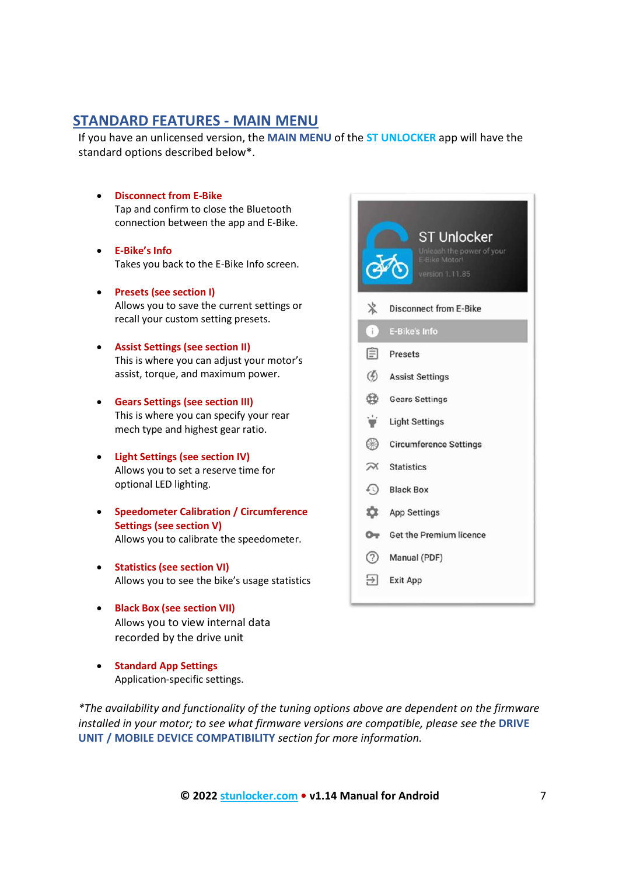### STANDARD FEATURES - MAIN MENU

If you have an unlicensed version, the MAIN MENU of the ST UNLOCKER app will have the standard options described below\*.

Disconnect from E-Bike

Tap and confirm to close the Bluetooth connection between the app and E-Bike.

- E-Bike's Info Takes you back to the E-Bike Info screen.
- Presets (see section I) Allows you to save the current settings or recall your custom setting presets.
- Assist Settings (see section II) This is where you can adjust your motor's assist, torque, and maximum power.
- Gears Settings (see section III) This is where you can specify your rear mech type and highest gear ratio.
- Light Settings (see section IV) Allows you to set a reserve time for optional LED lighting.
- Speedometer Calibration / Circumference | C App Settings Settings (see section V) Allows you to calibrate the speedometer.
- Statistics (see section VI) Allows you to see the bike's usage statistics
- Black Box (see section VII) Allows you to view internal data recorded by the drive unit
- **•** Standard App Settings Application-specific settings.

\*The availability and functionality of the tuning options above are dependent on the firmware installed in your motor; to see what firmware versions are compatible, please see the DRIVE UNIT / MOBILE DEVICE COMPATIBILITY section for more information.

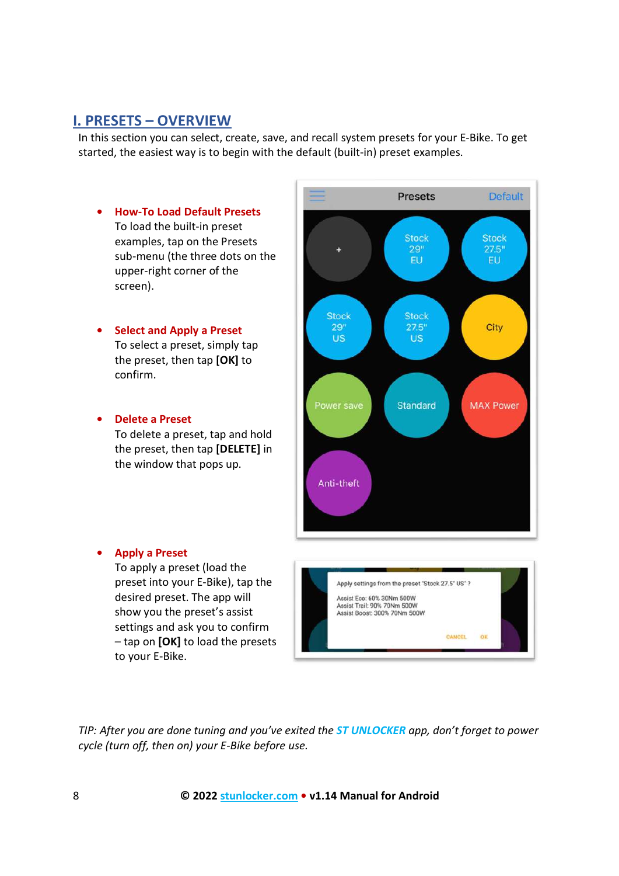### I. PRESETS – OVERVIEW

In this section you can select, create, save, and recall system presets for your E-Bike. To get started, the easiest way is to begin with the default (built-in) preset examples.

- How-To Load Default Presets To load the built-in preset examples, tap on the Presets sub-menu (the three dots on the upper-right corner of the screen).
- Select and Apply a Preset Select and Apply a Preset<br>To select a preset, simply tap the preset, then tap [OK] to confirm.
- Delete a Preset

To delete a preset, tap and hold the preset, then tap [DELETE] in the window that pops up.



#### • Apply a Preset

To apply a preset (load the desired preset. The app will show you the preset's assist settings and ask you to confirm – tap on [OK] to load the presets to your E-Bike.



TIP: After you are done tuning and you've exited the ST UNLOCKER app, don't forget to power cycle (turn off, then on) your E-Bike before use.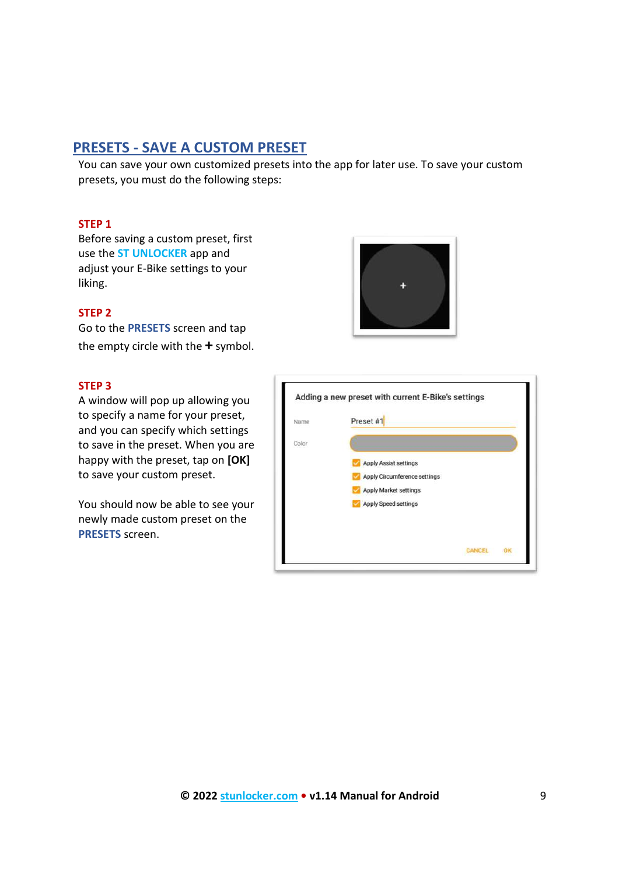### PRESETS - SAVE A CUSTOM PRESET

You can save your own customized presets into the app for later use. To save your custom presets, you must do the following steps:

#### STEP 1

Before saving a custom preset, first use the **ST UNLOCKER** app and adjust your E-Bike settings to your liking.

#### STEP 2

Go to the PRESETS screen and tap the empty circle with the  $+$  symbol.

#### STEP 3

A window will pop up allowing you to specify a name for your preset, and you can specify which settings to save in the preset. When you are happy with the preset, tap on [OK] to save your custom preset.

You should now be able to see your newly made custom preset on the PRESETS screen.

| Name  | Preset #1                    |
|-------|------------------------------|
| Color |                              |
|       | <b>Apply Assist settings</b> |
|       | Apply Circumference settings |
|       | Apply Market settings        |
|       | <b>Apply Speed settings</b>  |
|       |                              |



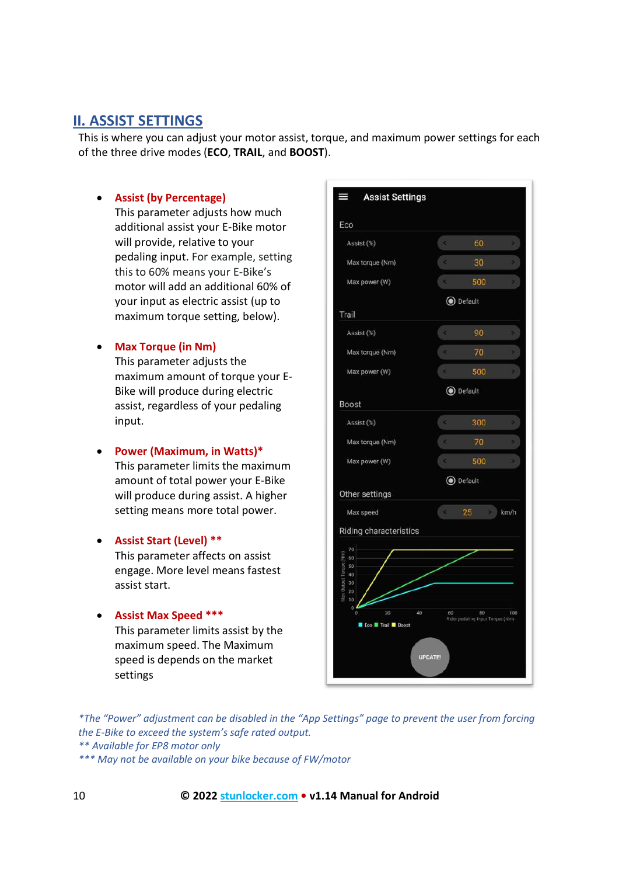### II. ASSIST SETTINGS

This is where you can adjust your motor assist, torque, and maximum power settings for each of the three drive modes (ECO, TRAIL, and BOOST).

#### Assist (by Percentage)

This parameter adjusts how much<br>additional assist your E. Bike motor additional assist your E-Bike motor will provide, relative to your pedaling input. For example, setting Max torque (Nm) this to 60% means your E-Bike's motor will add an additional 60% of your input as electric assist (up to<br>maximum torque setting helow) maximum torque setting, below).

#### Max Torque (in Nm)

This parameter adjusts the maximum amount of torque your E-Bike will produce during electric assist, regardless of your pedaling input.

#### Power (Maximum, in Watts)\*

This parameter limits the maximum amount of total power your E-Bike will produce during assist. A higher **the other settings** setting means more total power.

## Assist Start (Level) \*\*

This parameter affects on assist engage. More level means fastest assist start.

## Assist Max Speed \*\*\*

maximum speed. The Maximum speed is depends on the market settings



\*The "Power" adjustment can be disabled in the "App Settings" page to prevent the user from forcing the E-Bike to exceed the system's safe rated output. \*\* Available for EP8 motor only

\*\*\* May not be available on your bike because of FW/motor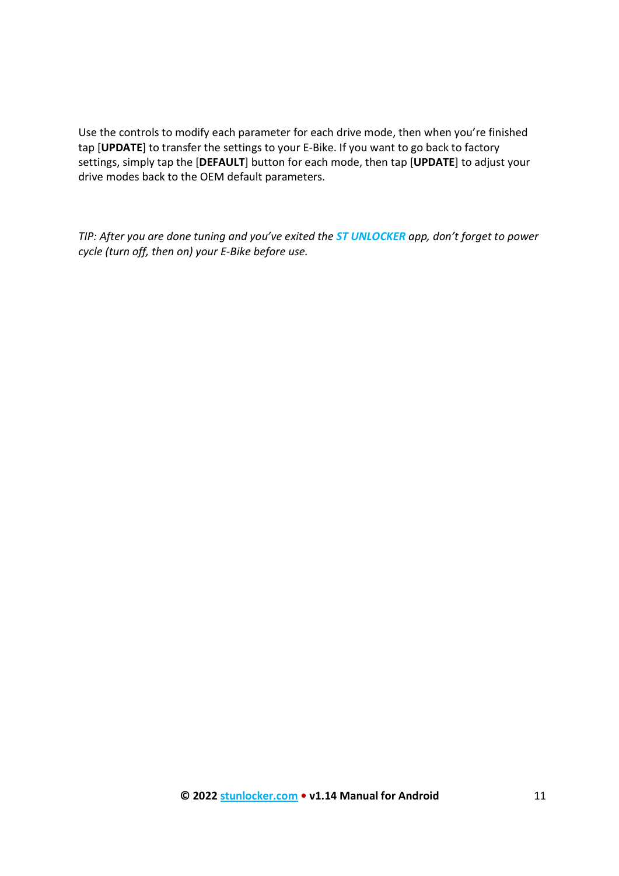Use the controls to modify each parameter for each drive mode, then when you're finished tap [UPDATE] to transfer the settings to your E-Bike. If you want to go back to factory settings, simply tap the [DEFAULT] button for each mode, then tap [UPDATE] to adjust your drive modes back to the OEM default parameters.

TIP: After you are done tuning and you've exited the ST UNLOCKER app, don't forget to power cycle (turn off, then on) your E-Bike before use.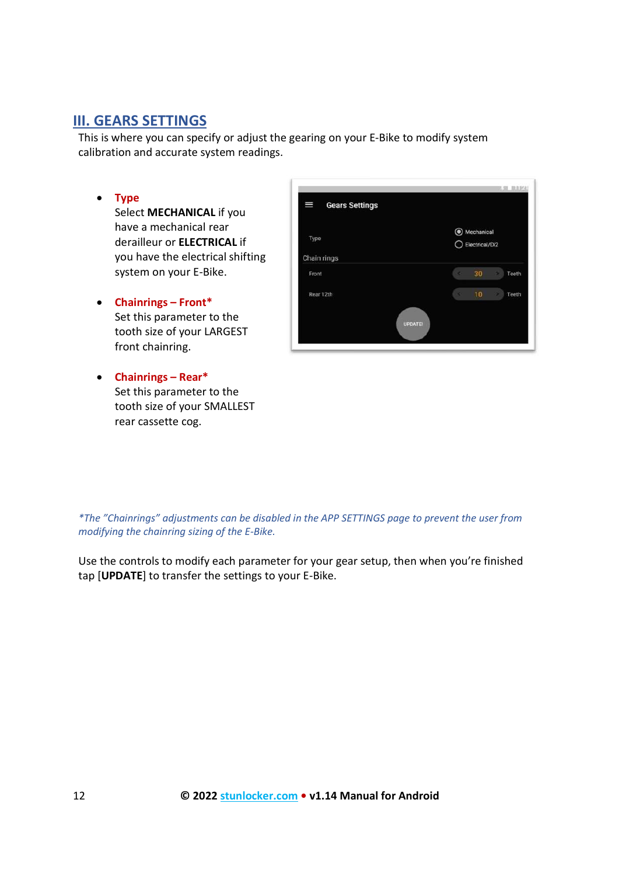### III. GEARS SETTINGS

This is where you can specify or adjust the gearing on your E-Bike to modify system calibration and accurate system readings.

• Type

Select MECHANICAL if you have a mechanical rear derailleur or ELECTRICAL if you have the electrical shifting system on your E-Bike.

- Chainrings Front\* Set this parameter to the tooth size of your LARGEST front chainring.
- Chainrings Rear\* Set this parameter to the tooth size of your SMALLEST rear cassette cog.

| Type        | Mechanical                         |
|-------------|------------------------------------|
|             | Electrical/Di2                     |
| Chain rings |                                    |
| Front       | 30 <sub>2</sub><br>Teeth<br>c<br>m |
| Rear 12th   | 10<br>Teeth<br>c                   |
|             |                                    |

\*The "Chainrings" adjustments can be disabled in the APP SETTINGS page to prevent the user from modifying the chainring sizing of the E-Bike.

Use the controls to modify each parameter for your gear setup, then when you're finished tap [UPDATE] to transfer the settings to your E-Bike.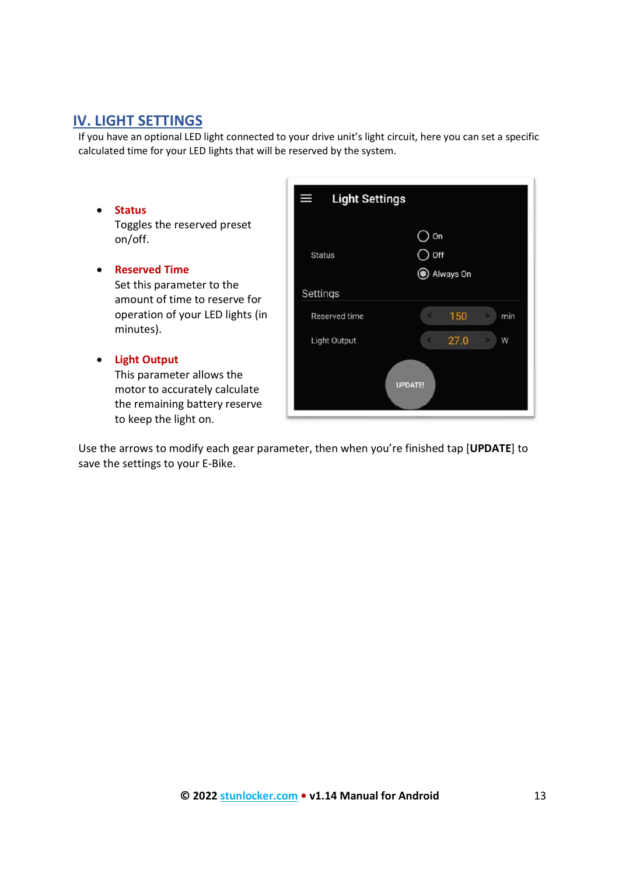### IV. LIGHT SETTINGS

If you have an optional LED light connected to your drive unit's light circuit, here you can set a specific calculated time for your LED lights that will be reserved by the system.

• Status Toggles the reserved preset on/off.

## Reserved Time

Set this parameter to the amount of time to reserve for operation of your LED lights (in minutes).

 Light Output This parameter allows the

motor to accurately calculate the remaining battery reserve to keep the light on.

|                      | On                                         |
|----------------------|--------------------------------------------|
| <b>Status</b>        | Off                                        |
|                      | Always On                                  |
| Settings             |                                            |
| <b>Reserved time</b> | 150<br>k.<br>$\geq$<br>min                 |
| Light Output         | 27.0<br>$\overline{\phantom{a}}$<br>W<br>٠ |
|                      |                                            |

Use the arrows to modify each gear parameter, then when you're finished tap [UPDATE] to save the settings to your E-Bike.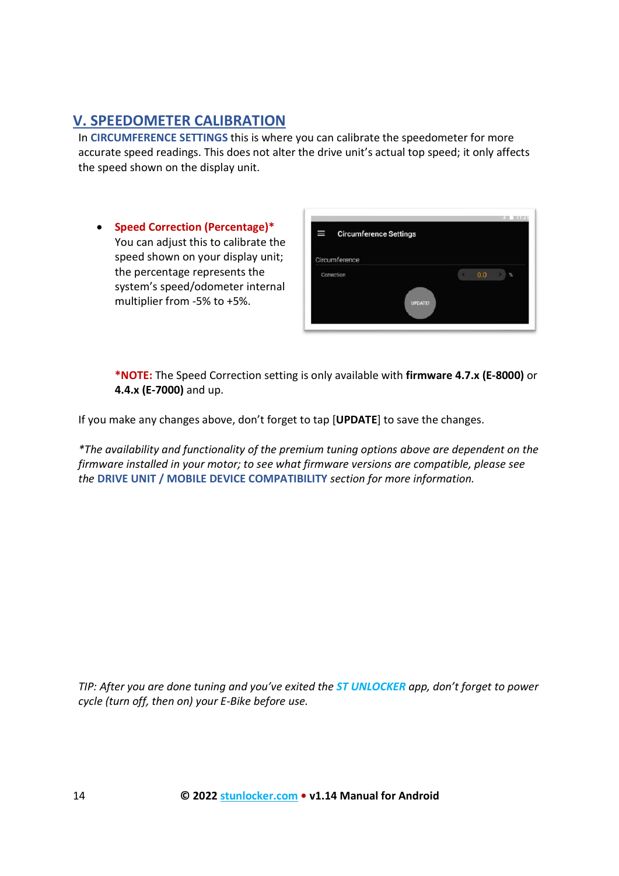## V. SPEEDOMETER CALIBRATION

In CIRCUMFERENCE SETTINGS this is where you can calibrate the speedometer for more accurate speed readings. This does not alter the drive unit's actual top speed; it only affects the speed shown on the display unit.

• Speed Correction (Percentage)\* You can adjust this to calibrate the speed shown on your display unit; the percentage represents the system's speed/odometer internal multiplier from -5% to +5%.

| $\equiv$<br><b>Circumference Settings</b> |                |     |    |
|-------------------------------------------|----------------|-----|----|
| Circumference                             |                |     |    |
| Correction                                |                | 0.0 | ÷. |
|                                           |                |     |    |
|                                           | <b>UPDATE!</b> |     |    |

\*NOTE: The Speed Correction setting is only available with firmware 4.7.x (E-8000) or 4.4.x (E-7000) and up.

If you make any changes above, don't forget to tap [UPDATE] to save the changes.

\*The availability and functionality of the premium tuning options above are dependent on the firmware installed in your motor; to see what firmware versions are compatible, please see the DRIVE UNIT / MOBILE DEVICE COMPATIBILITY section for more information.

TIP: After you are done tuning and you've exited the **ST UNLOCKER** app, don't forget to power cycle (turn off, then on) your E-Bike before use.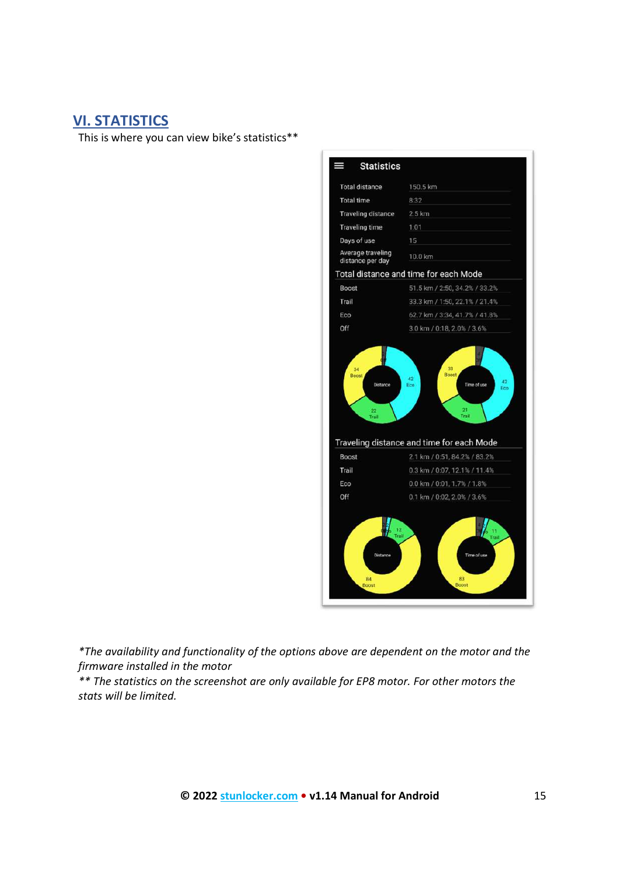### VI. STATISTICS

This is where you can view bike's statistics\*\*



\*The availability and functionality of the options above are dependent on the motor and the firmware installed in the motor

\*\* The statistics on the screenshot are only available for EP8 motor. For other motors the stats will be limited.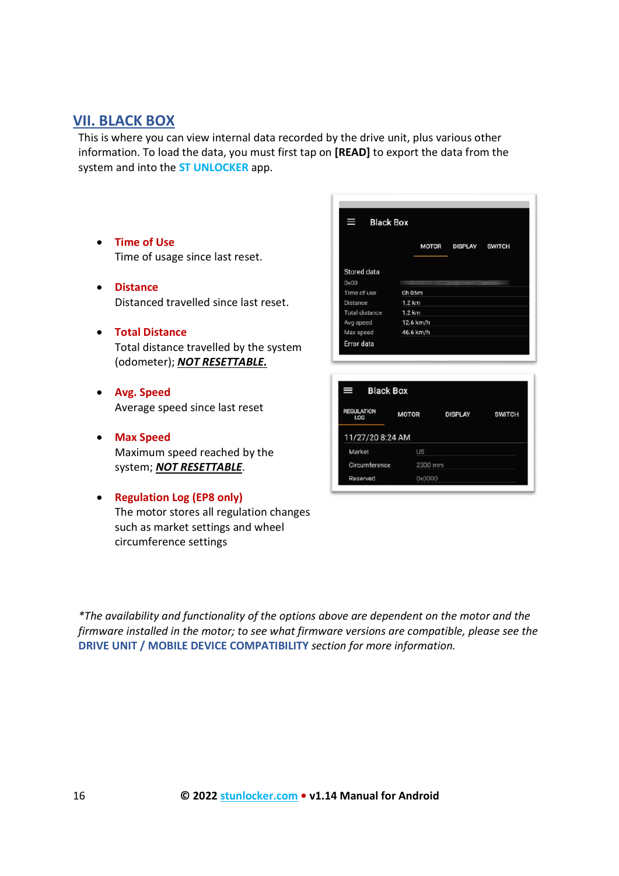### VII. BLACK BOX

This is where you can view internal data recorded by the drive unit, plus various other information. To load the data, you must first tap on [READ] to export the data from the system and into the **ST UNLOCKER** app.

- Time of Use Time of usage since last reset.
- Distance Distanced travelled since last reset.
- Total Distance Total distance travelled by the system (odometer); NOT RESETTABLE.
- Avg. Speed Average speed since last reset
- Max Speed Maximum speed reached by the system; **NOT RESETTABLE**.
- Regulation Log (EP8 only) The motor stores all regulation changes such as market settings and wheel circumference settings

|                       |           | MOTOR DISPLAY SWITCH |  |
|-----------------------|-----------|----------------------|--|
| Stored data           |           |                      |  |
| 0x00                  |           |                      |  |
| Time of use           | 0h 05m    |                      |  |
| <b>Distance</b>       | 1.2 km    |                      |  |
| <b>Total distance</b> | 1.2 km    |                      |  |
| Avg speed 12.6 km/h   |           |                      |  |
| Max speed             | 46.6 km/h |                      |  |
| Error data            |           |                      |  |
|                       |           |                      |  |
| <b>Black Box</b><br>= |           |                      |  |

0x0000

Reserved

\*The availability and functionality of the options above are dependent on the motor and the firmware installed in the motor; to see what firmware versions are compatible, please see the DRIVE UNIT / MOBILE DEVICE COMPATIBILITY section for more information.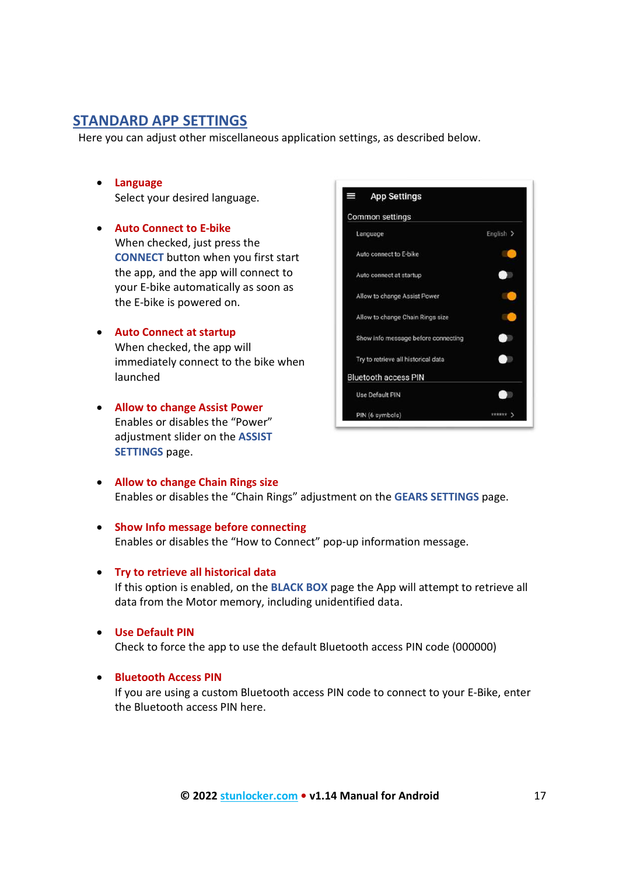### STANDARD APP SETTINGS

Here you can adjust other miscellaneous application settings, as described below.

- Language Select your desired language.
- Auto Connect to E-bike When checked, just press the CONNECT button when you first start the app, and the app will connect to **the app.** Auto connect at startup your E-bike automatically as soon as the E-bike is powered on.
- Auto Connect at startup When checked, the app will immediately connect to the bike when Try to retrieve all historical data launched
- Allow to change Assist Power Enables or disables the "Power" adjustment slider on the ASSIST SETTINGS page.



- Allow to change Chain Rings size Enables or disables the "Chain Rings" adjustment on the GEARS SETTINGS page.
- Show Info message before connecting Enables or disables the "How to Connect" pop-up information message.
- Try to retrieve all historical data If this option is enabled, on the **BLACK BOX** page the App will attempt to retrieve all data from the Motor memory, including unidentified data.
- Use Default PIN Check to force the app to use the default Bluetooth access PIN code (000000)
- **•** Bluetooth Access PIN

If you are using a custom Bluetooth access PIN code to connect to your E-Bike, enter the Bluetooth access PIN here.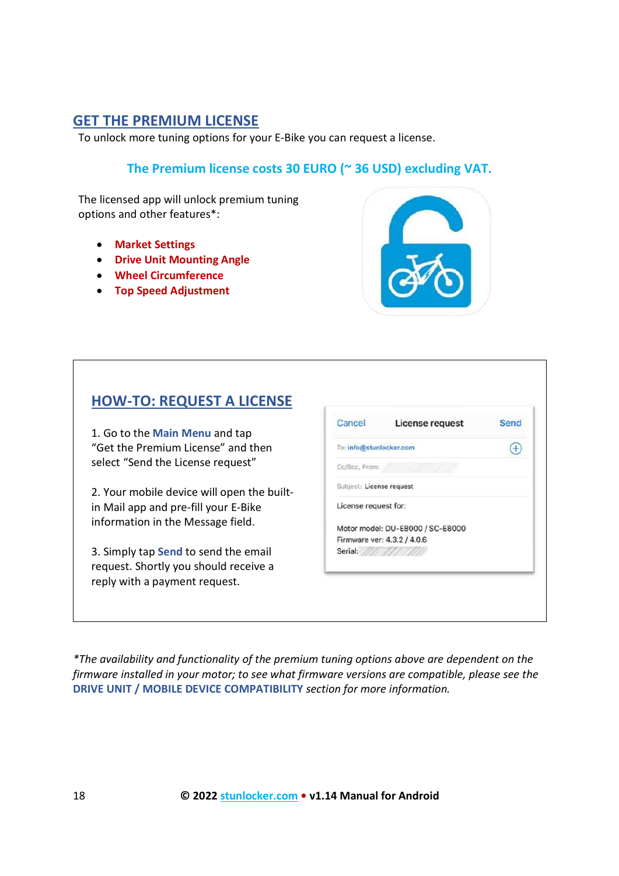### GET THE PREMIUM LICENSE

To unlock more tuning options for your E-Bike you can request a license.

### The Premium license costs 30 EURO (~ 36 USD) excluding VAT.

The licensed app will unlock premium tuning options and other features\*:

- Market Settings
- Drive Unit Mounting Angle
- Wheel Circumference
- Top Speed Adjustment



### HOW-TO: REQUEST A LICENSE

1. Go to the Main Menu and tap "Get the Premium License" and then select "Send the License request"

2. Your mobile device will open the builtin Mail app and pre-fill your E-Bike information in the Message field.

3. Simply tap **Send** to send the email request. Shortly you should receive a reply with a payment request.

| Cancel                   | License request                  | Send |
|--------------------------|----------------------------------|------|
| To: info@stunlocker.com  |                                  |      |
| Co/Bcc, From:            |                                  |      |
| Subject: License request |                                  |      |
| License request for:     |                                  |      |
|                          | Motor model: DU-E8000 / SC-E8000 |      |
|                          | Firmware ver: 4.3.2 / 4.0.6      |      |
| Serial:                  |                                  |      |
|                          |                                  |      |

\*The availability and functionality of the premium tuning options above are dependent on the firmware installed in your motor; to see what firmware versions are compatible, please see the DRIVE UNIT / MOBILE DEVICE COMPATIBILITY section for more information.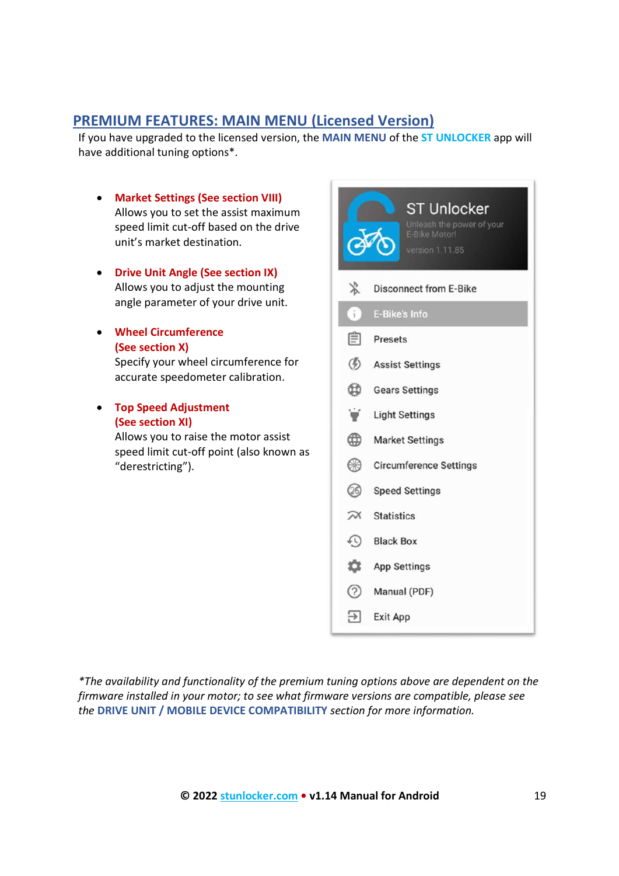### PREMIUM FEATURES: MAIN MENU (Licensed Version)

If you have upgraded to the licensed version, the MAIN MENU of the ST UNLOCKER app will have additional tuning options\*.

- Market Settings (See section VIII) Allows you to set the assist maximum speed limit cut-off based on the drive unit's market destination.
- Drive Unit Angle (See section IX) Allows you to adjust the mounting  $\mathbb{R}$ angle parameter of your drive unit.
- Wheel Circumference (See section X)

Specify your wheel circumference for (5) Assist Settings accurate speedometer calibration.

 Top Speed Adjustment (See section XI)

> Allows you to raise the motor assist **Allows** Market Settings speed limit cut-off point (also known as "derestricting").



\*The availability and functionality of the premium tuning options above are dependent on the firmware installed in your motor; to see what firmware versions are compatible, please see the DRIVE UNIT / MOBILE DEVICE COMPATIBILITY section for more information.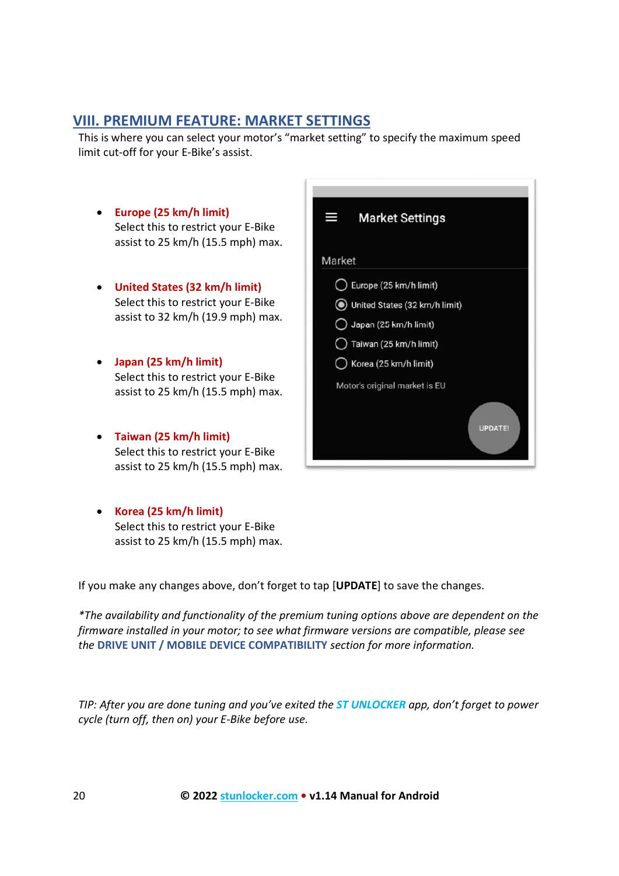### VIII. PREMIUM FEATURE: MARKET SETTINGS

This is where you can select your motor's "market setting" to specify the maximum speed limit cut-off for your E-Bike's assist.

- Europe (25 km/h limit) Select this to restrict your E-Bike assist to 25 km/h (15.5 mph) max.
- United States (32 km/h limit) Select this to restrict your E-Bike assist to 32 km/h (19.9 mph) max.
- Japan (25 km/h limit) Select this to restrict your E-Bike assist to 25 km/h (15.5 mph) max.
- Taiwan (25 km/h limit) Select this to restrict your E-Bike assist to 25 km/h (15.5 mph) max.
- Korea (25 km/h limit) Select this to restrict your E-Bike assist to 25 km/h (15.5 mph) max.

If you make any changes above, don't forget to tap [UPDATE] to save the changes.

\*The availability and functionality of the premium tuning options above are dependent on the firmware installed in your motor; to see what firmware versions are compatible, please see the DRIVE UNIT / MOBILE DEVICE COMPATIBILITY section for more information.

TIP: After you are done tuning and you've exited the **ST UNLOCKER** app, don't forget to power cycle (turn off, then on) your E-Bike before use.

| <b>Market Settings</b><br>--  |
|-------------------------------|
| Market                        |
| Europe (25 km/h limit)        |
| United States (32 km/h limit) |
| Japan (25 km/h limit)         |
| Taiwan (25 km/h limit)        |
| Korea (25 km/h limit)         |
| Motor's original market is EU |
| <b>UPDATE!</b>                |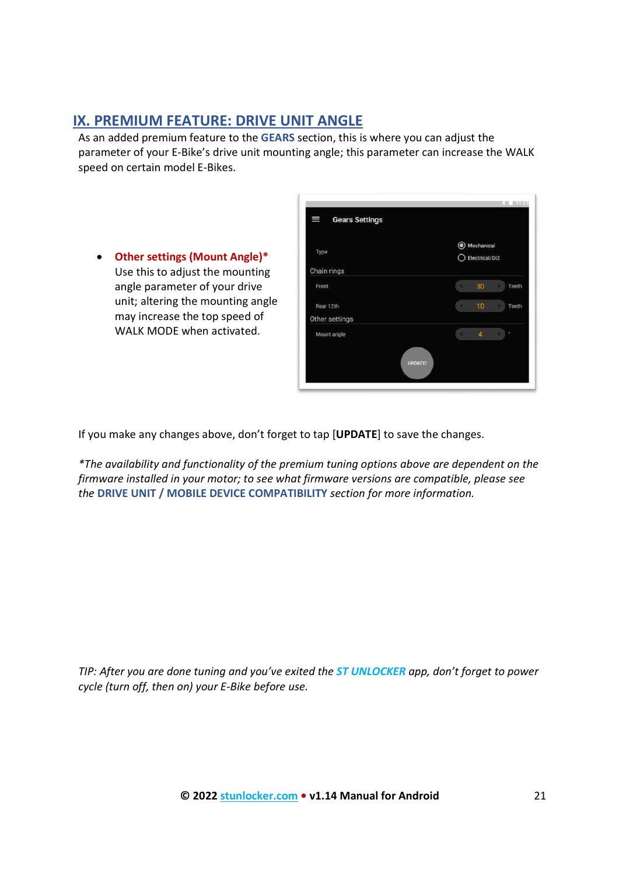## IX. PREMIUM FEATURE: DRIVE UNIT ANGLE

As an added premium feature to the GEARS section, this is where you can adjust the parameter of your E-Bike's drive unit mounting angle; this parameter can increase the WALK speed on certain model E-Bikes.

 Other settings (Mount Angle)\* Use this to adjust the mounting angle parameter of your drive unit; altering the mounting angle may increase the top speed of WALK MODE when activated.

| ≡<br><b>Gears Settings</b> |                          |
|----------------------------|--------------------------|
|                            | Mechanical<br>◉          |
| Type                       | Electrical/Di2           |
| Chain rings                |                          |
| Front                      | 30<br>Teeth<br>a         |
| Rear 12th                  | 10<br>×<br>Teeth         |
| Other settings             |                          |
| Mount angle                | $\overline{4}$<br>٠<br>× |
| <b>UPDATE!</b>             |                          |

If you make any changes above, don't forget to tap [UPDATE] to save the changes.

\*The availability and functionality of the premium tuning options above are dependent on the firmware installed in your motor; to see what firmware versions are compatible, please see the DRIVE UNIT / MOBILE DEVICE COMPATIBILITY section for more information.

TIP: After you are done tuning and you've exited the ST UNLOCKER app, don't forget to power cycle (turn off, then on) your E-Bike before use.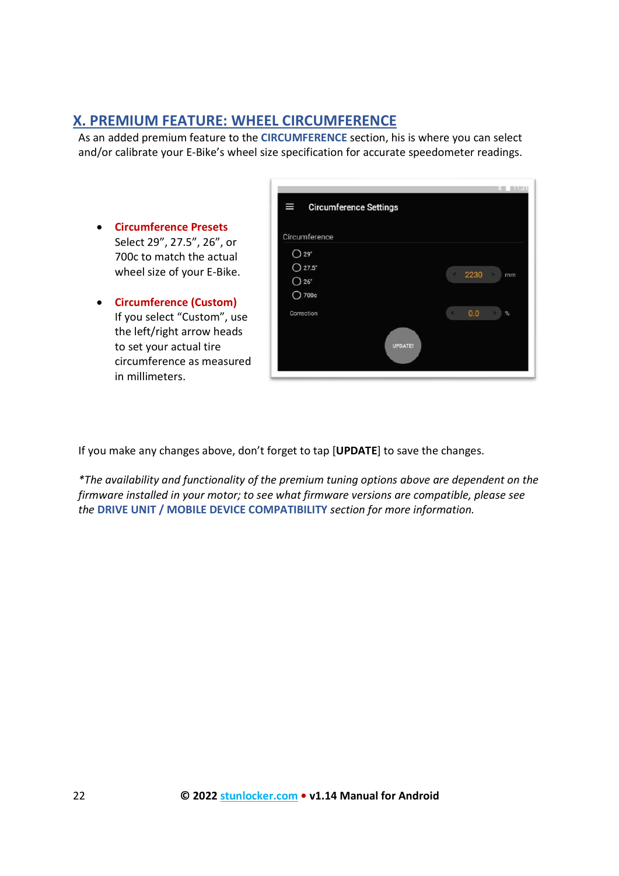## X. PREMIUM FEATURE: WHEEL CIRCUMFERENCE

As an added premium feature to the CIRCUMFERENCE section, his is where you can select and/or calibrate your E-Bike's wheel size specification for accurate speedometer readings.

- Circumference Presets Select 29", 27.5", 26", or 700c to match the actual wheel size of your E-Bike.
- Circumference (Custom) If you select "Custom", use the left/right arrow heads to set your actual tire circumference as measured in millimeters.

| Circumference   |               |
|-----------------|---------------|
| O29             |               |
| $O27.5^{\circ}$ | 2230<br>٠     |
| O26             | mm            |
| 700c            |               |
| Correction      | 0.0<br>×<br>% |
|                 |               |

If you make any changes above, don't forget to tap [UPDATE] to save the changes.

\*The availability and functionality of the premium tuning options above are dependent on the firmware installed in your motor; to see what firmware versions are compatible, please see the DRIVE UNIT / MOBILE DEVICE COMPATIBILITY section for more information.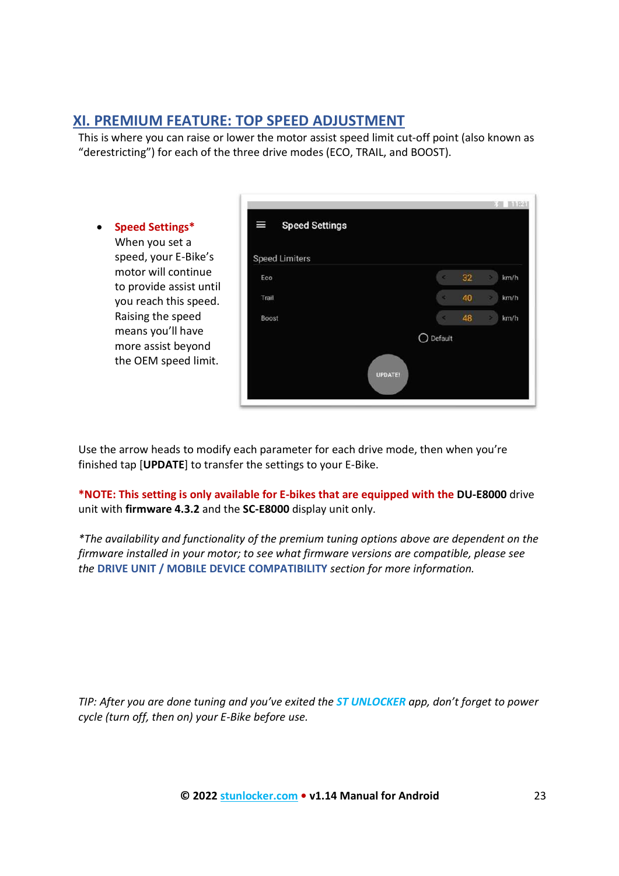## XI. PREMIUM FEATURE: TOP SPEED ADJUSTMENT

This is where you can raise or lower the motor assist speed limit cut-off point (also known as "derestricting") for each of the three drive modes (ECO, TRAIL, and BOOST).

### • Speed Settings\* When you set a speed, your E-Bike's motor will continue to provide assist until you reach this speed. Raising the speed means you'll have more assist beyond

the OEM speed limit.

| I<br><b>Speed Settings</b> |                 |
|----------------------------|-----------------|
| <b>Speed Limiters</b>      |                 |
| Eco                        | 32<br>km/h<br>c |
| Trail                      | 40<br>km/h<br>۹ |
| Boost                      | 48<br>km/h<br>c |
|                            | Default         |
|                            | <b>UPDATE!</b>  |

Use the arrow heads to modify each parameter for each drive mode, then when you're finished tap [UPDATE] to transfer the settings to your E-Bike.

\*NOTE: This setting is only available for E-bikes that are equipped with the DU-E8000 drive unit with firmware 4.3.2 and the SC-E8000 display unit only.

\*The availability and functionality of the premium tuning options above are dependent on the firmware installed in your motor; to see what firmware versions are compatible, please see the DRIVE UNIT / MOBILE DEVICE COMPATIBILITY section for more information.

TIP: After you are done tuning and you've exited the ST UNLOCKER app, don't forget to power cycle (turn off, then on) your E-Bike before use.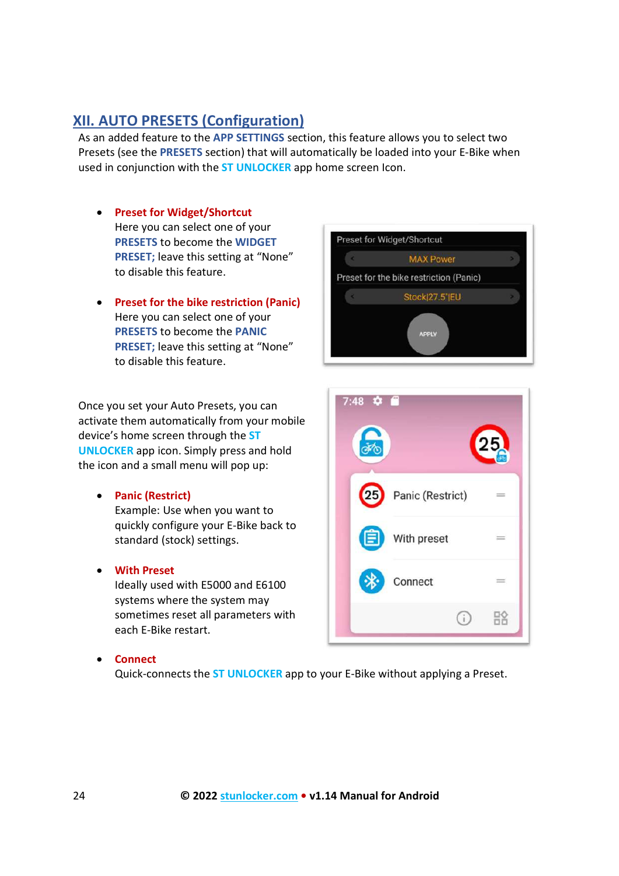## XII. AUTO PRESETS (Configuration)

As an added feature to the APP SETTINGS section, this feature allows you to select two Presets (see the PRESETS section) that will automatically be loaded into your E-Bike when used in conjunction with the **ST UNLOCKER** app home screen Icon.

- Preset for Widget/Shortcut Here you can select one of your<br> **Exercises** to become the WIDGET PRESETS to become the WIDGET PRESET; leave this setting at "None" to disable this feature.
- **•** Preset for the bike restriction (Panic) Here you can select one of your PRESETS to become the PANIC PRESET; leave this setting at "None" to disable this feature.

Once you set your Auto Presets, you can activate them automatically from your mobile device's home screen through the ST UNLOCKER app icon. Simply press and hold the icon and a small menu will pop up:

• Panic (Restrict)

Example: Use when you want to quickly configure your E-Bike back to standard (stock) settings.

With Preset

Ideally used with E5000 and E6100 systems where the system may sometimes reset all parameters with each E-Bike restart.

#### Connect

Quick-connects the **ST UNLOCKER** app to your E-Bike without applying a Preset.



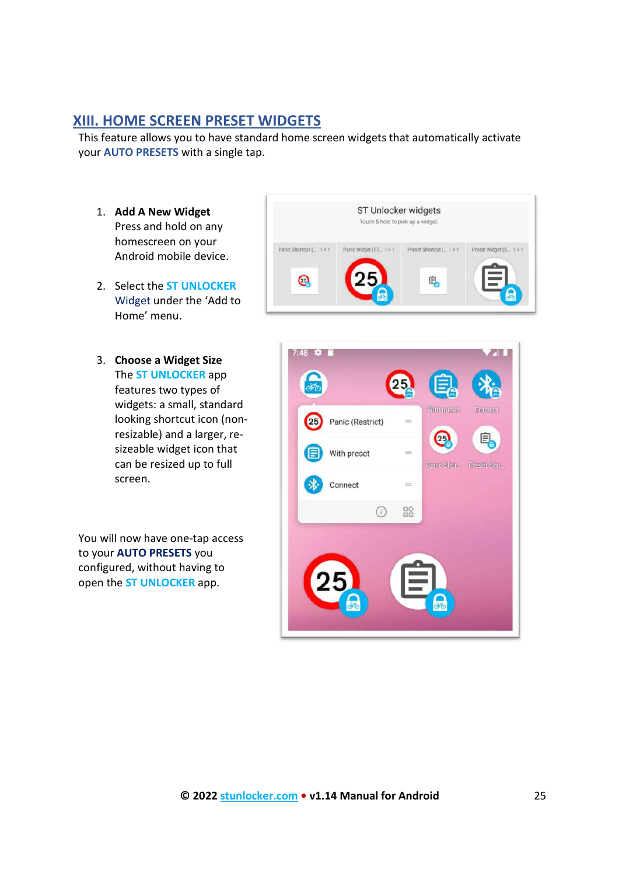### XIII. HOME SCREEN PRESET WIDGETS

This feature allows you to have standard home screen widgets that automatically activate your **AUTO PRESETS** with a single tap.

- 1. Add A New Widget Press and hold on any Android mobile device.
- 2. Select the ST UNLOCKER Widget under the 'Add to Home' menu.
- 3. Choose a Widget Size<br>The **ST UNLOCKER** app features two types of widgets: a small, standard looking shortcut icon (nonresizable) and a larger, resizeable widget icon that can be resized up to full screen.

 You will now have one-tap access to your AUTO PRESETS you configured, without having to open the **ST UNLOCKER** app.



| 7:48<br>$\sim$<br>e o |                  |         | $\left( 25 \right)$ | 自           |            |
|-----------------------|------------------|---------|---------------------|-------------|------------|
| 25                    | Panic (Restrict) |         | $=$                 | With preset | Connect    |
|                       | With preset      |         | $\frac{1}{2}$       | Panie Shor  | Preset Sho |
|                       | Connect          |         | $=$                 |             |            |
|                       |                  | $\odot$ | 앎                   |             |            |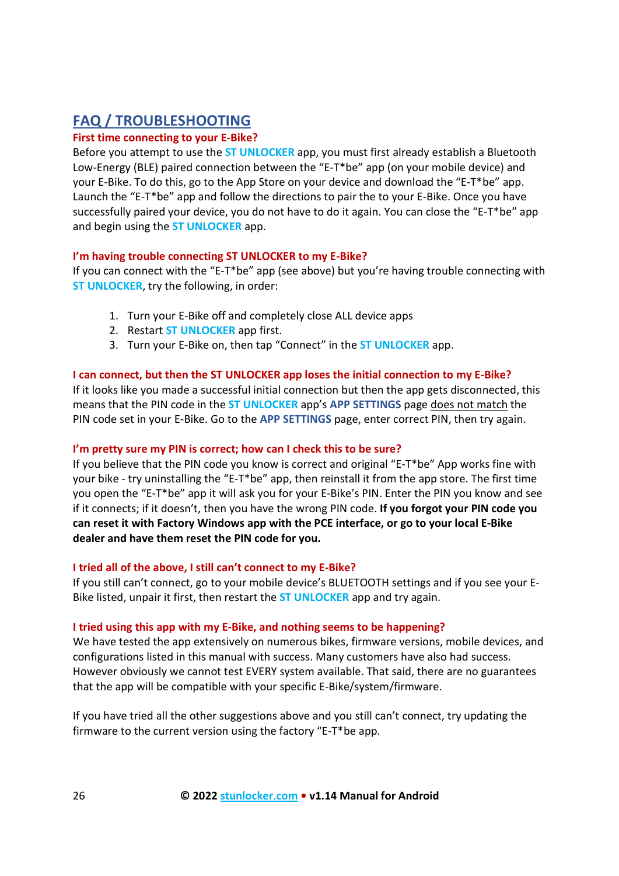## FAQ / TROUBLESHOOTING

### First time connecting to your E-Bike?

Before you attempt to use the **ST UNLOCKER** app, you must first already establish a Bluetooth Low-Energy (BLE) paired connection between the "E-T\*be" app (on your mobile device) and your E-Bike. To do this, go to the App Store on your device and download the "E-T\*be" app. Launch the "E-T\*be" app and follow the directions to pair the to your E-Bike. Once you have successfully paired your device, you do not have to do it again. You can close the "E-T\*be" app and begin using the **ST UNLOCKER** app.

#### I'm having trouble connecting ST UNLOCKER to my E-Bike?

If you can connect with the "E-T\*be" app (see above) but you're having trouble connecting with ST UNLOCKER, try the following, in order:

- 1. Turn your E-Bike off and completely close ALL device apps
- 2. Restart **ST UNLOCKER** app first.
- 3. Turn your E-Bike on, then tap "Connect" in the **ST UNLOCKER** app.

#### I can connect, but then the ST UNLOCKER app loses the initial connection to my E-Bike?

If it looks like you made a successful initial connection but then the app gets disconnected, this means that the PIN code in the ST UNLOCKER app's APP SETTINGS page does not match the PIN code set in your E-Bike. Go to the APP SETTINGS page, enter correct PIN, then try again.

#### I'm pretty sure my PIN is correct; how can I check this to be sure?

If you believe that the PIN code you know is correct and original "E-T\*be" App works fine with your bike - try uninstalling the "E-T\*be" app, then reinstall it from the app store. The first time you open the "E-T\*be" app it will ask you for your E-Bike's PIN. Enter the PIN you know and see if it connects; if it doesn't, then you have the wrong PIN code. If you forgot your PIN code you can reset it with Factory Windows app with the PCE interface, or go to your local E-Bike dealer and have them reset the PIN code for you.

#### I tried all of the above, I still can't connect to my E-Bike?

If you still can't connect, go to your mobile device's BLUETOOTH settings and if you see your E-Bike listed, unpair it first, then restart the **ST UNLOCKER** app and try again.

#### I tried using this app with my E-Bike, and nothing seems to be happening?

We have tested the app extensively on numerous bikes, firmware versions, mobile devices, and configurations listed in this manual with success. Many customers have also had success. However obviously we cannot test EVERY system available. That said, there are no guarantees that the app will be compatible with your specific E-Bike/system/firmware.

If you have tried all the other suggestions above and you still can't connect, try updating the firmware to the current version using the factory "E-T\*be app.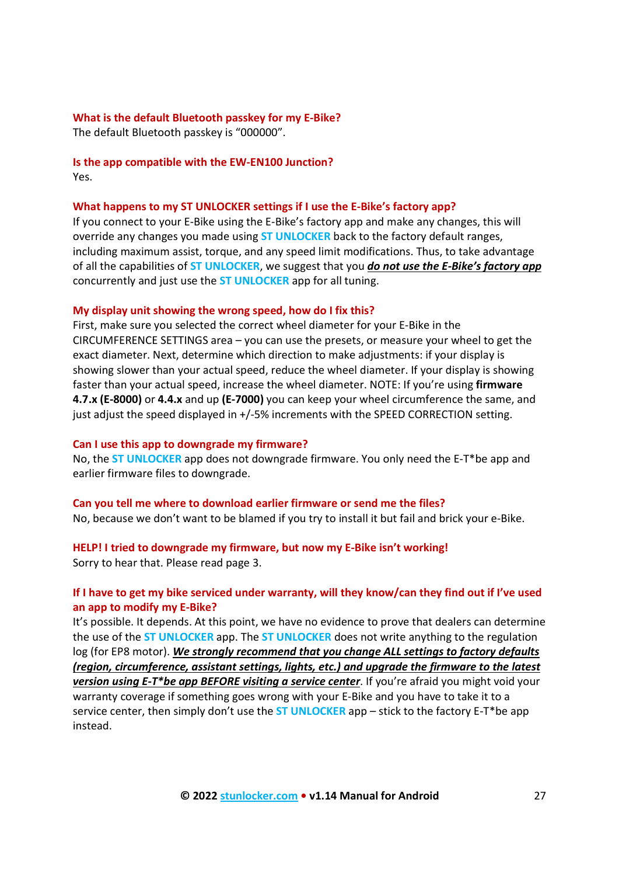#### What is the default Bluetooth passkey for my E-Bike?

The default Bluetooth passkey is "000000".

## Is the app compatible with the EW-EN100 Junction?

Yes.

#### What happens to my ST UNLOCKER settings if I use the E-Bike's factory app?

If you connect to your E-Bike using the E-Bike's factory app and make any changes, this will override any changes you made using **ST UNLOCKER** back to the factory default ranges, including maximum assist, torque, and any speed limit modifications. Thus, to take advantage of all the capabilities of ST UNLOCKER, we suggest that you do not use the E-Bike's factory app concurrently and just use the ST UNLOCKER app for all tuning.

#### My display unit showing the wrong speed, how do I fix this?

First, make sure you selected the correct wheel diameter for your E-Bike in the CIRCUMFERENCE SETTINGS area – you can use the presets, or measure your wheel to get the exact diameter. Next, determine which direction to make adjustments: if your display is showing slower than your actual speed, reduce the wheel diameter. If your display is showing faster than your actual speed, increase the wheel diameter. NOTE: If you're using firmware 4.7.x (E-8000) or 4.4.x and up (E-7000) you can keep your wheel circumference the same, and just adjust the speed displayed in +/-5% increments with the SPEED CORRECTION setting.

#### Can I use this app to downgrade my firmware?

No, the ST UNLOCKER app does not downgrade firmware. You only need the E-T\*be app and earlier firmware files to downgrade.

#### Can you tell me where to download earlier firmware or send me the files?

No, because we don't want to be blamed if you try to install it but fail and brick your e-Bike.

#### HELP! I tried to downgrade my firmware, but now my E-Bike isn't working!

Sorry to hear that. Please read page 3.

#### If I have to get my bike serviced under warranty, will they know/can they find out if I've used an app to modify my E-Bike?

It's possible. It depends. At this point, we have no evidence to prove that dealers can determine the use of the **ST UNLOCKER** app. The **ST UNLOCKER** does not write anything to the regulation log (for EP8 motor). We strongly recommend that you change ALL settings to factory defaults (region, circumference, assistant settings, lights, etc.) and upgrade the firmware to the latest version using E-T\*be app BEFORE visiting a service center. If you're afraid you might void your warranty coverage if something goes wrong with your E-Bike and you have to take it to a service center, then simply don't use the  $ST$  UNLOCKER app – stick to the factory E-T\*be app instead.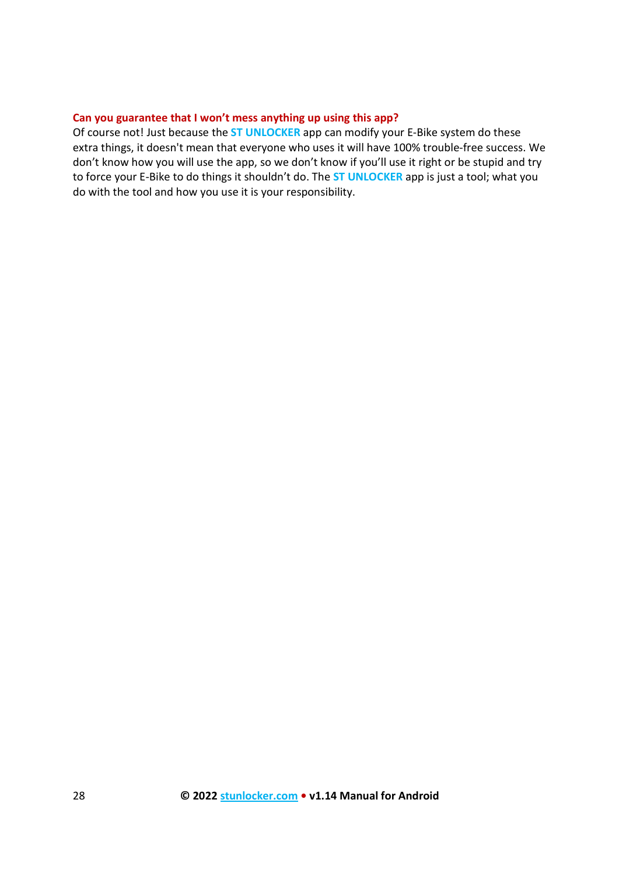#### Can you guarantee that I won't mess anything up using this app?

Of course not! Just because the **ST UNLOCKER** app can modify your E-Bike system do these extra things, it doesn't mean that everyone who uses it will have 100% trouble-free success. We don't know how you will use the app, so we don't know if you'll use it right or be stupid and try to force your E-Bike to do things it shouldn't do. The **ST UNLOCKER** app is just a tool; what you do with the tool and how you use it is your responsibility.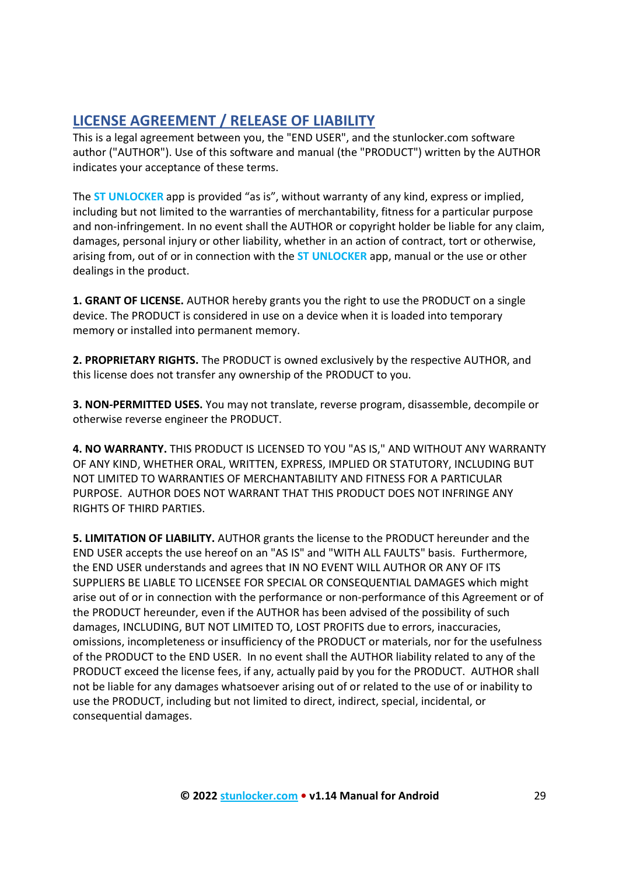## LICENSE AGREEMENT / RELEASE OF LIABILITY

This is a legal agreement between you, the "END USER", and the stunlocker.com software author ("AUTHOR"). Use of this software and manual (the "PRODUCT") written by the AUTHOR indicates your acceptance of these terms.

The **ST UNLOCKER** app is provided "as is", without warranty of any kind, express or implied, including but not limited to the warranties of merchantability, fitness for a particular purpose and non-infringement. In no event shall the AUTHOR or copyright holder be liable for any claim, damages, personal injury or other liability, whether in an action of contract, tort or otherwise, arising from, out of or in connection with the **ST UNLOCKER** app, manual or the use or other dealings in the product.

1. GRANT OF LICENSE. AUTHOR hereby grants you the right to use the PRODUCT on a single device. The PRODUCT is considered in use on a device when it is loaded into temporary memory or installed into permanent memory.

2. PROPRIETARY RIGHTS. The PRODUCT is owned exclusively by the respective AUTHOR, and this license does not transfer any ownership of the PRODUCT to you.

3. NON-PERMITTED USES. You may not translate, reverse program, disassemble, decompile or otherwise reverse engineer the PRODUCT.

4. NO WARRANTY. THIS PRODUCT IS LICENSED TO YOU "AS IS," AND WITHOUT ANY WARRANTY OF ANY KIND, WHETHER ORAL, WRITTEN, EXPRESS, IMPLIED OR STATUTORY, INCLUDING BUT NOT LIMITED TO WARRANTIES OF MERCHANTABILITY AND FITNESS FOR A PARTICULAR PURPOSE. AUTHOR DOES NOT WARRANT THAT THIS PRODUCT DOES NOT INFRINGE ANY RIGHTS OF THIRD PARTIES.

5. LIMITATION OF LIABILITY. AUTHOR grants the license to the PRODUCT hereunder and the END USER accepts the use hereof on an "AS IS" and "WITH ALL FAULTS" basis. Furthermore, the END USER understands and agrees that IN NO EVENT WILL AUTHOR OR ANY OF ITS SUPPLIERS BE LIABLE TO LICENSEE FOR SPECIAL OR CONSEQUENTIAL DAMAGES which might arise out of or in connection with the performance or non-performance of this Agreement or of the PRODUCT hereunder, even if the AUTHOR has been advised of the possibility of such damages, INCLUDING, BUT NOT LIMITED TO, LOST PROFITS due to errors, inaccuracies, omissions, incompleteness or insufficiency of the PRODUCT or materials, nor for the usefulness of the PRODUCT to the END USER. In no event shall the AUTHOR liability related to any of the PRODUCT exceed the license fees, if any, actually paid by you for the PRODUCT. AUTHOR shall not be liable for any damages whatsoever arising out of or related to the use of or inability to use the PRODUCT, including but not limited to direct, indirect, special, incidental, or consequential damages.